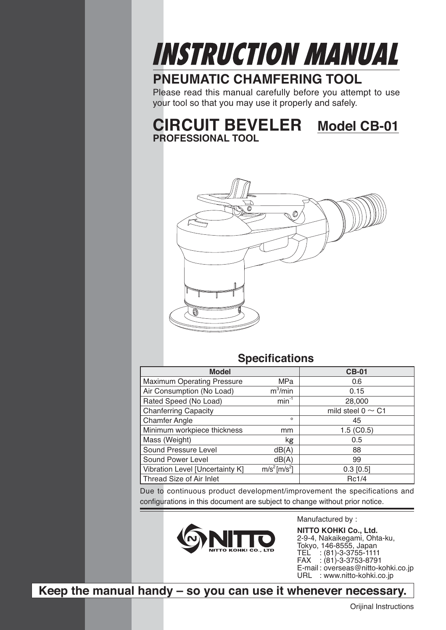

## **PNEUMATIC CHAMFERING TOOL**

Please read this manual carefully before you attempt to use your tool so that you may use it properly and safely.

**CIRCUIT BEVELER Model CB-01 PROFESSIONAL TOOL**



## **Specifications**

| <b>Model</b>                                                            |                       | <b>CB-01</b>           |
|-------------------------------------------------------------------------|-----------------------|------------------------|
| <b>Maximum Operating Pressure</b>                                       | MPa                   | 0.6                    |
| Air Consumption (No Load)                                               | $\overline{m}^3$ /min | 0.15                   |
| Rated Speed (No Load)                                                   | $min^{-1}$            | 28,000                 |
| <b>Chanferring Capacity</b>                                             |                       | mild steel $0 \sim C1$ |
| <b>Chamfer Angle</b>                                                    | $\circ$               | 45                     |
| Minimum workpiece thickness                                             | mm                    | 1.5(CO.5)              |
| Mass (Weight)                                                           | kg                    | 0.5                    |
| Sound Pressure Level                                                    | dB(A)                 | 88                     |
| Sound Power Level                                                       | dB(A)                 | 99                     |
| m/s <sup>2</sup> [m/s <sup>2</sup> ]<br>Vibration Level [Uncertainty K] |                       | $0.3$ [0.5]            |
| Thread Size of Air Inlet                                                | Rc1/4                 |                        |

Due to continuous product development/improvement the specifications and configurations in this document are subject to change without prior notice.



Manufactured by :

**NITTO KOHKI Co., Ltd.** 2-9-4, Nakaikegami, Ohta-ku, Tokyo, 146-8555, Japan TEL : (81)-3-3755-1111 FAX : (81)-3-3753-8791 E-mail : overseas@nitto-kohki.co.jp URL : www.nitto-kohki.co.jp

**Keep the manual handy – so you can use it whenever necessary.**

Orijinal Instructions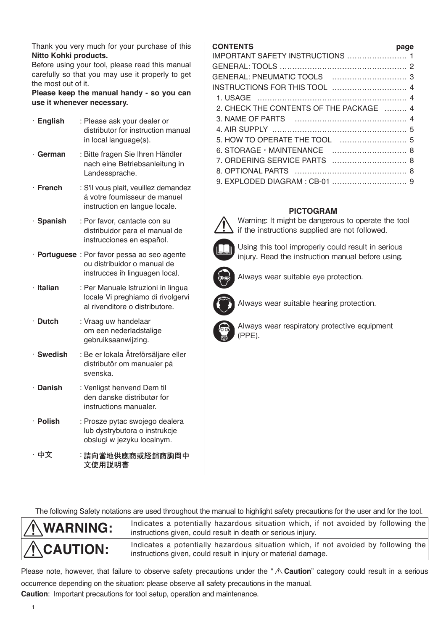Thank you very much for your purchase of this **Nitto Kohki products.**

Before using your tool, please read this manual carefully so that you may use it properly to get the most out of it.

**Please keep the manual handy - so you can use it whenever necessary.**

| · English      | : Please ask your dealer or<br>distributor for instruction manual<br>in local language(s).                    |
|----------------|---------------------------------------------------------------------------------------------------------------|
| ∙ German       | : Bitte fragen Sie Ihren Händler<br>nach eine Betriebsanleitung in<br>Landessprache.                          |
| $\cdot$ French | : S'il vous plait, veuillez demandez<br>á votre foumisseur de manuel<br>instruction en langue locale.         |
| · Spanish      | : Por favor, cantacte con su<br>distribuidor para el manual de<br>instrucciones en español.                   |
|                | · Portuguese : Por favor pessa ao seo agente<br>ou distribuidor o manual de<br>instrucces ih linguagen local. |
| · Italian      | : Per Manuale Istruzioni in lingua<br>locale Vi preghiamo di rivolgervi<br>al rivenditore o distributore.     |
| $\cdot$ Dutch  | : Vraag uw handelaar<br>om een nederladstalige<br>gebruiksaanwijzing.                                         |
| · Swedish      | : Be er lokala Åtreförsäljare eller<br>distributör om manualer pá<br>svenska.                                 |
| $\cdot$ Danish | : Venligst henvend Dem til<br>den danske distributør for<br>instructions manualer.                            |
| · Polish       | : Prosze pytac swojego dealera<br>lub dystrybutora o instrukcje<br>obslugi w jezyku localnym.                 |
| 中文             | :請向當地供應商或経銷商詢問中<br>文使用説明書                                                                                     |

### **CONTENTS page**

| 2. CHECK THE CONTENTS OF THE PACKAGE  4 |  |
|-----------------------------------------|--|
|                                         |  |
|                                         |  |
|                                         |  |
|                                         |  |
| 7. ORDERING SERVICE PARTS  8            |  |
|                                         |  |
|                                         |  |

### **PICTOGRAM**



Warning: It might be dangerous to operate the tool if the instructions supplied are not followed.

Using this tool improperly could result in serious injury. Read the instruction manual before using.



Always wear suitable eye protection.



Always wear suitable hearing protection.



Always wear respiratory protective equipment (PPE).

The following Safety notations are used throughout the manual to highlight safety precautions for the user and for the tool.



**WARNING:** Indicates a potentially hazardous situation which, if not avoided by following the intervalsed by following the intervalsed by following the intervalsed by following the intervalsed by following the intervalsed instructions given, could result in death or serious injury.

**CAUTION:** Indicates a potentially hazardous situation which, if not avoided by following the interval of the interval of the state of the interval of the interval demands instructions given, could result in injury or material damage.

Please note, however, that failure to observe safety precautions under the "  $\triangle$  Caution" category could result in a serious occurrence depending on the situation: please observe all safety precautions in the manual.

**Caution**: Important precautions for tool setup, operation and maintenance.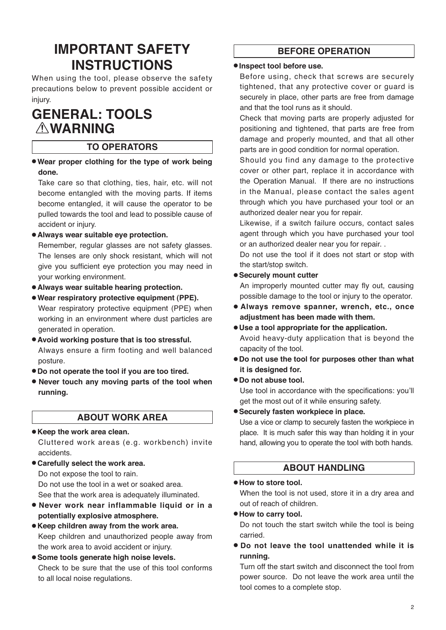# **IMPORTANT SAFETY INSTRUCTIONS**

When using the tool, please observe the safety precautions below to prevent possible accident or injury.

# **GENERAL: TOOLS WARNING**

### **TO OPERATORS**

● **Wear proper clothing for the type of work being done.**

Take care so that clothing, ties, hair, etc. will not become entangled with the moving parts. If items become entangled, it will cause the operator to be pulled towards the tool and lead to possible cause of accident or injury.

● **Always wear suitable eye protection.** 

Remember, regular glasses are not safety glasses. The lenses are only shock resistant, which will not give you sufficient eye protection you may need in your working environment.

● **Always wear suitable hearing protection.** 

● **Wear respiratory protective equipment (PPE).**  Wear respiratory protective equipment (PPE) when working in an environment where dust particles are generated in operation.

- **Avoid working posture that is too stressful.**  Always ensure a firm footing and well balanced posture.
- **Do not operate the tool if you are too tired.**
- **Never touch any moving parts of the tool when running.**

### **ABOUT WORK AREA**

### ● **Keep the work area clean.**

Cluttered work areas (e.g. workbench) invite accidents.

● **Carefully select the work area.** Do not expose the tool to rain. Do not use the tool in a wet or soaked area.

See that the work area is adequately illuminated.

- **Never work near inflammable liquid or in a potentially explosive atmosphere.**
- **Keep children away from the work area.** Keep children and unauthorized people away from the work area to avoid accident or injury.
- **Some tools generate high noise levels.** Check to be sure that the use of this tool conforms to all local noise regulations.

## **BEFORE OPERATION**

#### ● **Inspect tool before use.**

Before using, check that screws are securely tightened, that any protective cover or guard is securely in place, other parts are free from damage and that the tool runs as it should.

Check that moving parts are properly adjusted for positioning and tightened, that parts are free from damage and properly mounted, and that all other parts are in good condition for normal operation.

Should you find any damage to the protective cover or other part, replace it in accordance with the Operation Manual. If there are no instructions in the Manual, please contact the sales agent through which you have purchased your tool or an authorized dealer near you for repair.

Likewise, if a switch failure occurs, contact sales agent through which you have purchased your tool or an authorized dealer near you for repair. .

Do not use the tool if it does not start or stop with the start/stop switch.

#### ● **Securely mount cutter**

An improperly mounted cutter may fly out, causing possible damage to the tool or injury to the operator.

- **Always remove spanner, wrench, etc., once adjustment has been made with them.**
- **Use a tool appropriate for the application.** Avoid heavy-duty application that is beyond the capacity of the tool.
- **Do not use the tool for purposes other than what it is designed for.**

### ● **Do not abuse tool.**

Use tool in accordance with the specifications: you'll get the most out of it while ensuring safety.

● **Securely fasten workpiece in place.**

Use a vice or clamp to securely fasten the workpiece in place. It is much safer this way than holding it in your hand, allowing you to operate the tool with both hands.

### **ABOUT HANDLING**

#### ● **How to store tool.**

When the tool is not used, store it in a dry area and out of reach of children.

#### ● **How to carry tool.**

Do not touch the start switch while the tool is being carried.

● **Do not leave the tool unattended while it is running.**

Turn off the start switch and disconnect the tool from power source. Do not leave the work area until the tool comes to a complete stop.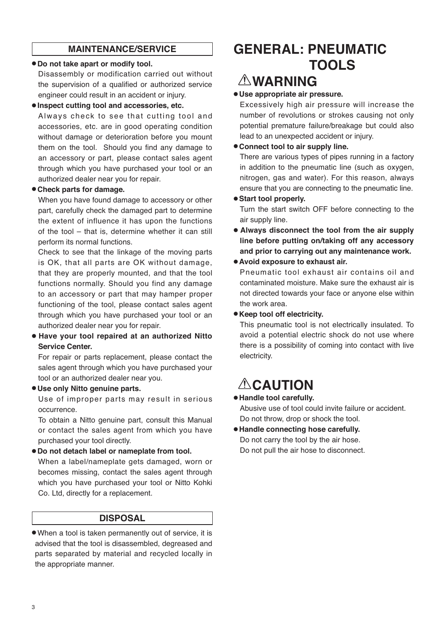### **MAINTENANCE/SERVICE**

#### ● **Do not take apart or modify tool.**

Disassembly or modification carried out without the supervision of a qualified or authorized service engineer could result in an accident or injury.

#### ● **Inspect cutting tool and accessories, etc.**

Always check to see that cutting tool and accessories, etc. are in good operating condition without damage or deterioration before you mount them on the tool. Should you find any damage to an accessory or part, please contact sales agent through which you have purchased your tool or an authorized dealer near you for repair.

#### ● **Check parts for damage.**

When you have found damage to accessory or other part, carefully check the damaged part to determine the extent of influence it has upon the functions of the tool – that is, determine whether it can still perform its normal functions.

Check to see that the linkage of the moving parts is OK, that all parts are OK without damage, that they are properly mounted, and that the tool functions normally. Should you find any damage to an accessory or part that may hamper proper functioning of the tool, please contact sales agent through which you have purchased your tool or an authorized dealer near you for repair.

● **Have your tool repaired at an authorized Nitto Service Center.** 

For repair or parts replacement, please contact the sales agent through which you have purchased your tool or an authorized dealer near you.

#### ● **Use only Nitto genuine parts.**

Use of improper parts may result in serious occurrence.

To obtain a Nitto genuine part, consult this Manual or contact the sales agent from which you have purchased your tool directly.

### ● **Do not detach label or nameplate from tool.**

When a label/nameplate gets damaged, worn or becomes missing, contact the sales agent through which you have purchased your tool or Nitto Kohki Co. Ltd, directly for a replacement.

### **DISPOSAL**

● When a tool is taken permanently out of service, it is advised that the tool is disassembled, degreased and parts separated by material and recycled locally in the appropriate manner.

# **GENERAL: PNEUMATIC TOOLS**

# **WARNING**

### ● **Use appropriate air pressure.**

Excessively high air pressure will increase the number of revolutions or strokes causing not only potential premature failure/breakage but could also lead to an unexpected accident or injury.

#### ● **Connect tool to air supply line.**

There are various types of pipes running in a factory in addition to the pneumatic line (such as oxygen, nitrogen, gas and water). For this reason, always ensure that you are connecting to the pneumatic line.

#### ● **Start tool properly.**

Turn the start switch OFF before connecting to the air supply line.

● **Always disconnect the tool from the air supply line before putting on/taking off any accessory and prior to carrying out any maintenance work.**

#### ● **Avoid exposure to exhaust air.**

Pneumatic tool exhaust air contains oil and contaminated moisture. Make sure the exhaust air is not directed towards your face or anyone else within the work area.

#### ● **Keep tool off electricity.**

This pneumatic tool is not electrically insulated. To avoid a potential electric shock do not use where there is a possibility of coming into contact with live electricity.

# **ACAUTION**

### ● **Handle tool carefully.**

Abusive use of tool could invite failure or accident. Do not throw, drop or shock the tool.

● **Handle connecting hose carefully.** Do not carry the tool by the air hose. Do not pull the air hose to disconnect.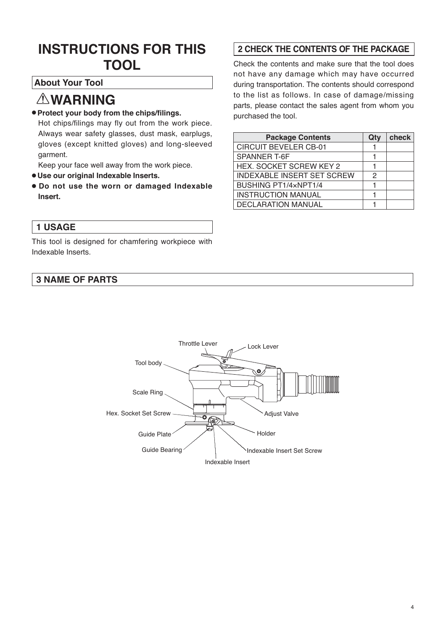# **INSTRUCTIONS FOR THIS TOOL**

## **About Your Tool**

# **WARNING**

### ● **Protect your body from the chips/filings.**

Hot chips/filings may fly out from the work piece. Always wear safety glasses, dust mask, earplugs, gloves (except knitted gloves) and long-sleeved garment.

Keep your face well away from the work piece.

- **Use our original Indexable Inserts.**
- **Do not use the worn or damaged Indexable Insert.**

## **1 USAGE**

This tool is designed for chamfering workpiece with Indexable Inserts.

### **3 NAME OF PARTS**

## **2 CHECK THE CONTENTS OF THE PACKAGE**

Check the contents and make sure that the tool does not have any damage which may have occurred during transportation. The contents should correspond to the list as follows. In case of damage/missing parts, please contact the sales agent from whom you purchased the tool.

| <b>Package Contents</b>           | Qtv | check |
|-----------------------------------|-----|-------|
| <b>CIRCUIT BEVELER CB-01</b>      |     |       |
| SPANNER T-6F                      |     |       |
| <b>HEX. SOCKET SCREW KEY 2</b>    |     |       |
| <b>INDEXABLE INSERT SET SCREW</b> | 2   |       |
| BUSHING PT1/4xNPT1/4              |     |       |
| <b>INSTRUCTION MANUAL</b>         |     |       |
| <b>DECLARATION MANUAL</b>         |     |       |

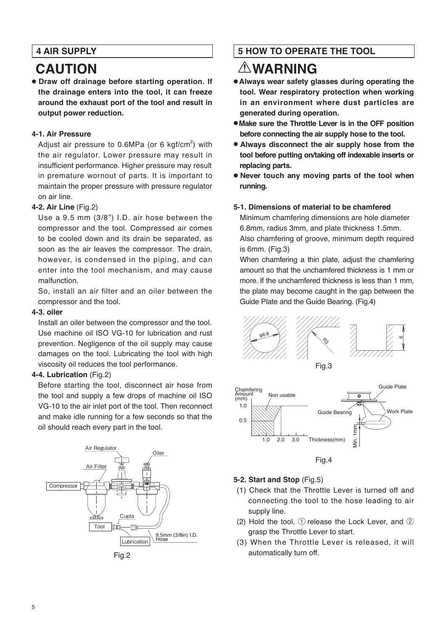## **4 AIR SUPPLY**

# **CAUTION**

● **Draw off drainage before starting operation. If the drainage enters into the tool, it can freeze around the exhaust port of the tool and result in output power reduction.**

### **4-1. Air Pressure**

Adjust air pressure to  $0.6$ MPa (or 6 kgf/cm<sup>2</sup>) with the air regulator. Lower pressure may result in insufficient performance. Higher pressure may result in premature wornout of parts. It is important to maintain the proper pressure with pressure regulator on air line.

### **4-2. Air Line** (Fig.2)

Use a 9.5 mm (3/8") I.D. air hose between the compressor and the tool. Compressed air comes to be cooled down and its drain be separated, as soon as the air leaves the compressor. The drain, however, is condensed in the piping, and can enter into the tool mechanism, and may cause malfunction.

So, install an air filter and an oiler between the compressor and the tool.

#### **4-3. oiler**

Install an oiler between the compressor and the tool. Use machine oil ISO VG-10 for lubrication and rust prevention. Negligence of the oil supply may cause damages on the tool. Lubricating the tool with high viscosity oil reduces the tool performance.

### **4-4. Lubrication** (Fig.2)

Before starting the tool, disconnect air hose from the tool and supply a few drops of machine oil ISO VG-10 to the air inlet port of the tool. Then reconnect and make idle running for a few seconds so that the oil should reach every part in the tool.



Fig.2

## **5 HOW TO OPERATE THE TOOL**

# **WARNING**

- **Always wear safety glasses during operating the tool. Wear respiratory protection when working in an environment where dust particles are generated during operation.**
- **Make sure the Throttle Lever is in the OFF position before connecting the air supply hose to the tool.**
- **Always disconnect the air supply hose from the tool before putting on/taking off indexable inserts or replacing parts.**
- **Never touch any moving parts of the tool when running.**

### **5-1. Dimensions of material to be chamfered**

Minimum chamfering dimensions are hole diameter 6.8mm, radius 3mm, and plate thickness 1.5mm. Also chamfering of groove, minimum depth required is 6mm. (Fig.3)

When chamfering a thin plate, adjust the chamfering amount so that the unchamfered thickness is 1 mm or more. If the unchamfered thickness is less than 1 mm, the plate may become caught in the gap between the Guide Plate and the Guide Bearing. (Fig.4)





Fig.4

### **5-2. Start and Stop** (Fig.5)

- (1) Check that the Throttle Lever is turned off and connecting the tool to the hose leading to air supply line.
- (2) Hold the tool, ① release the Lock Lever, and ② grasp the Throttle Lever to start.
- (3) When the Throttle Lever is released, it will automatically turn off.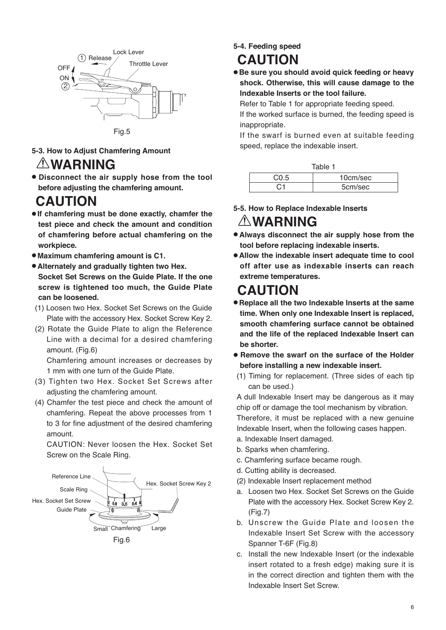

- **5-3. How to Adjust Chamfering Amount WARNING**
- **Disconnect the air supply hose from the tool before adjusting the chamfering amount.**

# **CAUTION**

- **If chamfering must be done exactly, chamfer the test piece and check the amount and condition of chamfering before actual chamfering on the workpiece.**
- **Maximum chamfering amount is C1.**
- **Alternately and gradually tighten two Hex. Socket Set Screws on the Guide Plate. If the one screw is tightened too much, the Guide Plate can be loosened.**
- (1) Loosen two Hex. Socket Set Screws on the Guide Plate with the accessory Hex. Socket Screw Key 2.
- (2) Rotate the Guide Plate to align the Reference Line with a decimal for a desired chamfering amount. (Fig.6)

 Chamfering amount increases or decreases by 1 mm with one turn of the Guide Plate.

- (3) Tighten two Hex. Socket Set Screws after adjusting the chamfering amount.
- (4) Chamfer the test piece and check the amount of chamfering. Repeat the above processes from 1 to 3 for fine adjustment of the desired chamfering amount.

 CAUTION: Never loosen the Hex. Socket Set Screw on the Scale Ring.



**5-4. Feeding speed**

# **CAUTION**

● **Be sure you should avoid quick feeding or heavy shock. Otherwise, this will cause damage to the Indexable Inserts or the tool failure.**

Refer to Table 1 for appropriate feeding speed.

If the worked surface is burned, the feeding speed is inappropriate.

If the swarf is burned even at suitable feeding speed, replace the indexable insert.

|      | Table 1  |
|------|----------|
| CO.5 | 10cm/sec |
| C1   | 5cm/sec  |

**5-5. How to Replace Indexable Inserts**

## **WARNING**

- **Always disconnect the air supply hose from the tool before replacing indexable inserts.**
- **Allow the indexable insert adequate time to cool off after use as indexable inserts can reach extreme temperatures.**

# **CAUTION**

- **Replace all the two Indexable Inserts at the same time. When only one Indexable Insert is replaced, smooth chamfering surface cannot be obtained and the life of the replaced Indexable Insert can be shorter.**
- **Remove the swarf on the surface of the Holder before installing a new indexable insert.**
- (1) Timing for replacement. (Three sides of each tip can be used.)

A dull Indexable Insert may be dangerous as it may chip off or damage the tool mechanism by vibration. Therefore, it must be replaced with a new genuine

- Indexable Insert, when the following cases happen. a. Indexable Insert damaged.
- b. Sparks when chamfering.
- c. Chamfering surface became rough.
- d. Cutting ability is decreased.
- (2) Indexable Insert replacement method
- a. Loosen two Hex. Socket Set Screws on the Guide Plate with the accessory Hex. Socket Screw Key 2. (Fig.7)
- b. Unscrew the Guide Plate and loosen the Indexable Insert Set Screw with the accessory Spanner T-6F (Fig.8)
- c. Install the new Indexable Insert (or the indexable insert rotated to a fresh edge) making sure it is in the correct direction and tighten them with the Indexable Insert Set Screw.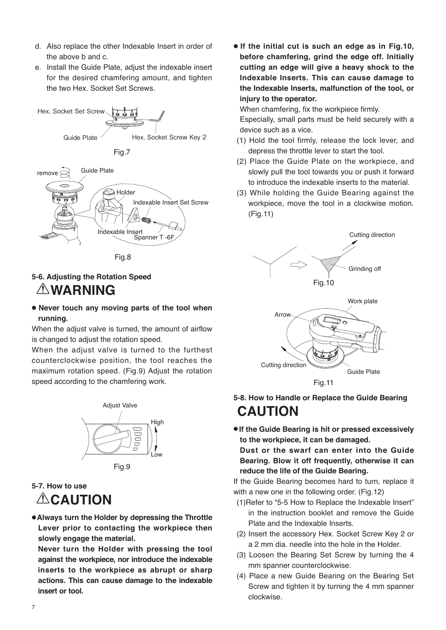- d. Also replace the other Indexable Insert in order of the above b and c.
- e. Install the Guide Plate, adjust the indexable insert for the desired chamfering amount, and tighten the two Hex. Socket Set Screws.



Fig.8

#### **5-6. Adjusting the Rotation Speed**

## **WARNING**

● **Never touch any moving parts of the tool when running.**

When the adjust valve is turned, the amount of airflow is changed to adjust the rotation speed.

When the adjust valve is turned to the furthest counterclockwise position, the tool reaches the maximum rotation speed. (Fig.9) Adjust the rotation speed according to the chamfering work.



## **5-7. How to use**

**ACAUTION** 

●**Always turn the Holder by depressing the Throttle Lever prior to contacting the workpiece then slowly engage the material.**

 **Never turn the Holder with pressing the tool against the workpiece, nor introduce the indexable inserts to the workpiece as abrupt or sharp actions. This can cause damage to the indexable insert or tool.**

● **If the initial cut is such an edge as in Fig.10, before chamfering, grind the edge off. Initially cutting an edge will give a heavy shock to the Indexable Inserts. This can cause damage to the Indexable Inserts, malfunction of the tool, or injury to the operator.**

When chamfering, fix the workpiece firmly.

 Especially, small parts must be held securely with a device such as a vice.

- (1) Hold the tool firmly, release the lock lever, and depress the throttle lever to start the tool.
- (2) Place the Guide Plate on the workpiece, and slowly pull the tool towards you or push it forward to introduce the indexable inserts to the material.
- (3) While holding the Guide Bearing against the workpiece, move the tool in a clockwise motion. (Fig.11)





## **5-8. How to Handle or Replace the Guide Bearing CAUTION**

● **If the Guide Bearing is hit or pressed excessively to the workpiece, it can be damaged.**

 **Dust or the swarf can enter into the Guide Bearing. Blow it off frequently, otherwise it can reduce the life of the Guide Bearing.**

If the Guide Bearing becomes hard to turn, replace it with a new one in the following order. (Fig.12)

- (1)Refer to "5-5 How to Replace the Indexable Insert" in the instruction booklet and remove the Guide Plate and the Indexable Inserts.
- (2) Insert the accessory Hex. Socket Screw Key 2 or a 2 mm dia. needle into the hole in the Holder.
- (3) Loosen the Bearing Set Screw by turning the 4 mm spanner counterclockwise.
- (4) Place a new Guide Bearing on the Bearing Set Screw and tighten it by turning the 4 mm spanner clockwise.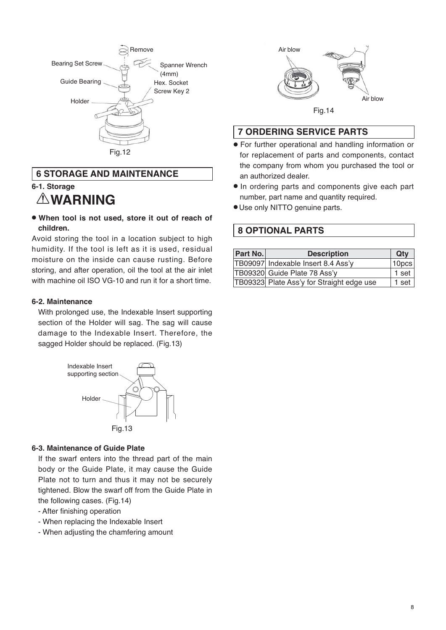

### **6 STORAGE AND MAINTENANCE**

## **6-1. Storage**

## **WARNING**

● **When tool is not used, store it out of reach of children.**

Avoid storing the tool in a location subject to high humidity. If the tool is left as it is used, residual moisture on the inside can cause rusting. Before storing, and after operation, oil the tool at the air inlet with machine oil ISO VG-10 and run it for a short time.

#### **6-2. Maintenance**

With prolonged use, the Indexable Insert supporting section of the Holder will sag. The sag will cause damage to the Indexable Insert. Therefore, the sagged Holder should be replaced. (Fig.13)



#### **6-3. Maintenance of Guide Plate**

If the swarf enters into the thread part of the main body or the Guide Plate, it may cause the Guide Plate not to turn and thus it may not be securely tightened. Blow the swarf off from the Guide Plate in the following cases. (Fig.14)

- After finishing operation
- When replacing the Indexable Insert
- When adjusting the chamfering amount



## **7 ORDERING SERVICE PARTS**

- For further operational and handling information or for replacement of parts and components, contact the company from whom you purchased the tool or an authorized dealer.
- In ordering parts and components give each part number, part name and quantity required.
- Use only NITTO genuine parts.

### **8 OPTIONAL PARTS**

| <b>Part No.</b> | <b>Description</b>                        | Qty               |
|-----------------|-------------------------------------------|-------------------|
|                 | TB09097 Indexable Insert 8.4 Ass'y        | 10 <sub>pcs</sub> |
|                 | TB09320 Guide Plate 78 Ass'y              | $1$ set           |
|                 | TB09323 Plate Ass'y for Straight edge use | $1$ set           |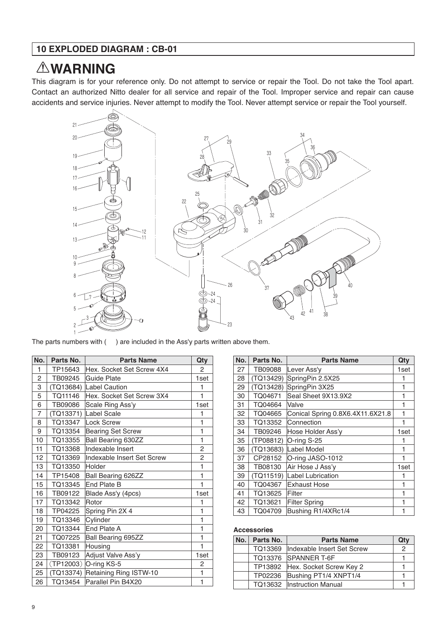# **WARNING**

This diagram is for your reference only. Do not attempt to service or repair the Tool. Do not take the Tool apart. Contact an authorized Nitto dealer for all service and repair of the Tool. Improper service and repair can cause accidents and service injuries. Never attempt to modify the Tool. Never attempt service or repair the Tool yourself.



The parts numbers with ( ) are included in the Ass'y parts written above them.

| No. | Parts No. | <b>Parts Name</b>          | Qty            |
|-----|-----------|----------------------------|----------------|
| 1   | TP15643   | Hex. Socket Set Screw 4X4  | $\overline{2}$ |
| 2   | TB09245   | Guide Plate                | 1set           |
| 3   |           | (TQ13684) Label Caution    | 1              |
| 5   | TQ11146   | Hex. Socket Set Screw 3X4  | $\mathbf{1}$   |
| 6   | TB09086   | Scale Ring Ass'y           | 1set           |
| 7   | (TQ13371) | Label Scale                | 1              |
| 8   | TQ13347   | Lock Screw                 | 1              |
| 9   | TQ13354   | <b>Bearing Set Screw</b>   | 1              |
| 10  | TQ13355   | <b>Ball Bearing 630ZZ</b>  | 1              |
| 11  | TQ13368   | Indexable Insert           | $\overline{c}$ |
| 12  | TQ13369   | Indexable Insert Set Screw | 2              |
| 13  | TQ13350   | Holder                     | 1              |
| 14  | TP15408   | Ball Bearing 626ZZ         | $\mathbf{1}$   |
| 15  | TQ13345   | End Plate B                | $\mathbf{1}$   |
| 16  | TB09122   | Blade Ass'y (4pcs)         | 1set           |
| 17  | TQ13342   | Rotor                      | 1              |
| 18  | TP04225   | Spring Pin 2X 4            | $\mathbf{1}$   |
| 19  | TQ13346   | Cvlinder                   | 1              |
| 20  | TQ13344   | End Plate A                | 1              |
| 21  | TQ07225   | Ball Bearing 695ZZ         | 1              |
| 22  | TQ13381   | Housing                    | 1              |
| 23  | TB09123   | Adjust Valve Ass'y         | 1set           |
| 24  |           | (TP12003) O-ring KS-5      | 2              |
| 25  | (TQ13374) | Retaining Ring ISTW-10     | 1              |
| 26  | TQ13454   | Parallel Pin B4X20         | 1              |

| No. | Parts No. | <b>Parts Name</b>                | Qty  |
|-----|-----------|----------------------------------|------|
| 27  | TB09088   | Lever Ass'y                      | 1set |
| 28  | (TQ13429) | SpringPin 2.5X25                 | 1    |
| 29  | (TQ13428) | SpringPin 3X25                   | 1    |
| 30  | TQ04671   | Seal Sheet 9X13.9X2              | 1    |
| 31  | TQ04664   | Valve                            | 1    |
| 32  | TQ04665   | Conical Spring 0.8X6.4X11.6X21.8 | 1    |
| 33  | TQ13352   | Connection                       | 1    |
| 34  | TB09246   | Hose Holder Ass'y                | 1set |
| 35  | (TP08812) | O-ring S-25                      | 1    |
| 36  | (TQ13683) | Label Model                      | 1    |
| 37  | CP28152   | O-ring JASO-1012                 | 1    |
| 38  | TB08130   | Air Hose J Ass'y                 | 1set |
| 39  | (TQ11519) | Label Lubrication                | 1    |
| 40  | TQ04367   | <b>Exhaust Hose</b>              | 1    |
| 41  | TQ13625   | Filter                           | 1    |
| 42  | TQ13621   | <b>Filter Spring</b>             | 1    |
| 43  | TQ04709   | Bushing R1/4XRc1/4               | 1    |

#### **Accessories**

| No. | Parts No. | <b>Parts Name</b>               | Qtv |
|-----|-----------|---------------------------------|-----|
|     | TQ13369   | Indexable Insert Set Screw      | 2   |
|     |           | TQ13376 SPANNER T-6F            |     |
|     |           | TP13892 Hex. Socket Screw Key 2 |     |
|     | TP02236   | Bushing PT1/4 XNPT1/4           |     |
|     |           | TQ13632  Instruction Manual     |     |